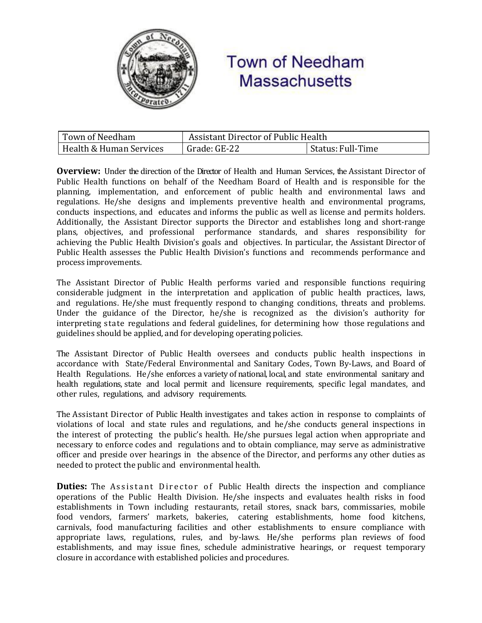

## **Town of Needham Massachusetts**

| Town of Needham         | Assistant Director of Public Health |                   |
|-------------------------|-------------------------------------|-------------------|
| Health & Human Services | Grade: GE-22                        | Status: Full-Time |

**Overview:** Under the direction of the Director of Health and Human Services, the Assistant Director of Public Health functions on behalf of the Needham Board of Health and is responsible for the planning, implementation, and enforcement of public health and environmental laws and regulations. He/she designs and implements preventive health and environmental programs, conducts inspections, and educates and informs the public as well as license and permits holders. Additionally, the Assistant Director supports the Director and establishes long and short-range plans, objectives, and professional performance standards, and shares responsibility for achieving the Public Health Division's goals and objectives. In particular, the Assistant Director of Public Health assesses the Public Health Division's functions and recommends performance and process improvements.

The Assistant Director of Public Health performs varied and responsible functions requiring considerable judgment in the interpretation and application of public health practices, laws, and regulations. He/she must frequently respond to changing conditions, threats and problems. Under the guidance of the Director, he/she is recognized as the division's authority for interpreting state regulations and federal guidelines, for determining how those regulations and guidelines should be applied, and for developing operating policies.

The Assistant Director of Public Health oversees and conducts public health inspections in accordance with State/Federal Environmental and Sanitary Codes, Town By-Laws, and Board of Health Regulations. He/she enforces a variety of national, local, and state environmental sanitary and health regulations, state and local permit and licensure requirements, specific legal mandates, and other rules, regulations, and advisory requirements.

The Assistant Director of Public Health investigates and takes action in response to complaints of violations of local and state rules and regulations, and he/she conducts general inspections in the interest of protecting the public's health. He/she pursues legal action when appropriate and necessary to enforce codes and regulations and to obtain compliance, may serve as administrative officer and preside over hearings in the absence of the Director, and performs any other duties as needed to protect the public and environmental health.

**Duties:** The Assistant Director of Public Health directs the inspection and compliance operations of the Public Health Division. He/she inspects and evaluates health risks in food establishments in Town including restaurants, retail stores, snack bars, commissaries, mobile food vendors, farmers' markets, bakeries, catering establishments, home food kitchens, carnivals, food manufacturing facilities and other establishments to ensure compliance with appropriate laws, regulations, rules, and by-laws. He/she performs plan reviews of food establishments, and may issue fines, schedule administrative hearings, or request temporary closure in accordance with established policies and procedures.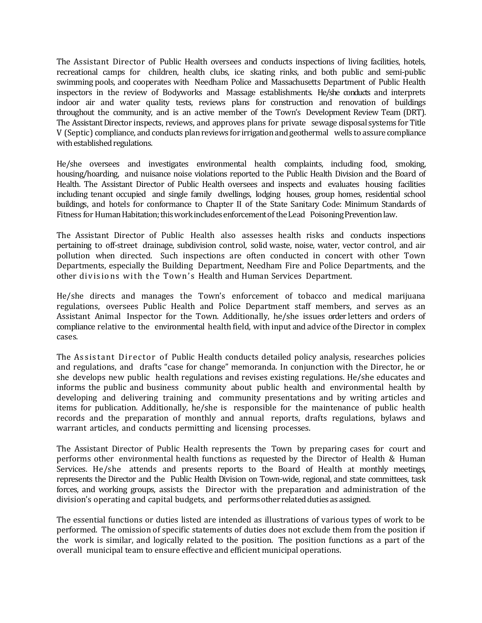The Assistant Director of Public Health oversees and conducts inspections of living facilities, hotels, recreational camps for children, health clubs, ice skating rinks, and both public and semi-public swimming pools, and cooperates with Needham Police and Massachusetts Department of Public Health inspectors in the review of Bodyworks and Massage establishments. He/she conducts and interprets indoor air and water quality tests, reviews plans for construction and renovation of buildings throughout the community, and is an active member of the Town's Development Review Team (DRT). The Assistant Director inspects, reviews, and approves plans for private sewage disposal systems for Title V (Septic) compliance, and conducts plan reviews for irrigationand geothermal wells to assure compliance with established regulations.

He/she oversees and investigates environmental health complaints, including food, smoking, housing/hoarding, and nuisance noise violations reported to the Public Health Division and the Board of Health. The Assistant Director of Public Health oversees and inspects and evaluates housing facilities including tenant occupied and single family dwellings, lodging houses, group homes, residential school buildings, and hotels for conformance to Chapter II of the State Sanitary Code: Minimum Standards of Fitness for Human Habitation; this work includes enforcement of the Lead Poisoning Prevention law.

The Assistant Director of Public Health also assesses health risks and conducts inspections pertaining to off-street drainage, subdivision control, solid waste, noise, water, vector control, and air pollution when directed. Such inspections are often conducted in concert with other Town Departments, especially the Building Department, Needham Fire and Police Departments, and the other divisions with the Town's Health and Human Services Department.

He/she directs and manages the Town's enforcement of tobacco and medical marijuana regulations, oversees Public Health and Police Department staff members, and serves as an Assistant Animal Inspector for the Town. Additionally, he/she issues order letters and orders of compliance relative to the environmental health field, with input and advice ofthe Director in complex cases.

The Assistant Director of Public Health conducts detailed policy analysis, researches policies and regulations, and drafts "case for change" memoranda. In conjunction with the Director, he or she develops new public health regulations and revises existing regulations. He/she educates and informs the public and business community about public health and environmental health by developing and delivering training and community presentations and by writing articles and items for publication. Additionally, he/she is responsible for the maintenance of public health records and the preparation of monthly and annual reports, drafts regulations, bylaws and warrant articles, and conducts permitting and licensing processes.

The Assistant Director of Public Health represents the Town by preparing cases for court and performs other environmental health functions as requested by the Director of Health & Human Services. He/she attends and presents reports to the Board of Health at monthly meetings, represents the Director and the Public Health Division on Town-wide, regional, and state committees, task forces, and working groups, assists the Director with the preparation and administration of the division's operating and capital budgets, and performs other related duties as assigned.

The essential functions or duties listed are intended as illustrations of various types of work to be performed. The omission of specific statements of duties does not exclude them from the position if the work is similar, and logically related to the position. The position functions as a part of the overall municipal team to ensure effective and efficient municipal operations.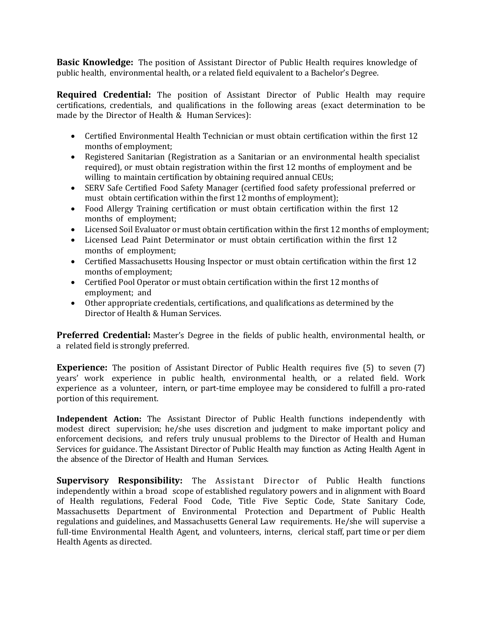**Basic Knowledge:** The position of Assistant Director of Public Health requires knowledge of public health, environmental health, or a related field equivalent to a Bachelor's Degree.

**Required Credential:** The position of Assistant Director of Public Health may require certifications, credentials, and qualifications in the following areas (exact determination to be made by the Director of Health & Human Services):

- Certified Environmental Health Technician or must obtain certification within the first 12 months of employment;
- Registered Sanitarian (Registration as a Sanitarian or an environmental health specialist required), or must obtain registration within the first 12 months of employment and be willing to maintain certification by obtaining required annual CEUs;
- SERV Safe Certified Food Safety Manager (certified food safety professional preferred or must obtain certification within the first 12 months of employment);
- Food Allergy Training certification or must obtain certification within the first 12 months of employment;
- Licensed Soil Evaluator or must obtain certification within the first 12 months of employment;
- Licensed Lead Paint Determinator or must obtain certification within the first 12 months of employment;
- Certified Massachusetts Housing Inspector or must obtain certification within the first 12 months of employment;
- Certified Pool Operator or must obtain certification within the first 12 months of employment; and
- Other appropriate credentials, certifications, and qualifications as determined by the Director of Health & Human Services.

**Preferred Credential:** Master's Degree in the fields of public health, environmental health, or a related field is strongly preferred.

**Experience:** The position of Assistant Director of Public Health requires five (5) to seven (7) years' work experience in public health, environmental health, or a related field. Work experience as a volunteer, intern, or part-time employee may be considered to fulfill a pro-rated portion of this requirement.

**Independent Action:** The Assistant Director of Public Health functions independently with modest direct supervision; he/she uses discretion and judgment to make important policy and enforcement decisions, and refers truly unusual problems to the Director of Health and Human Services for guidance. The Assistant Director of Public Health may function as Acting Health Agent in the absence of the Director of Health and Human Services.

**Supervisory Responsibility:** The Assistant Director of Public Health functions independently within a broad scope of established regulatory powers and in alignment with Board of Health regulations, Federal Food Code, Title Five Septic Code, State Sanitary Code, Massachusetts Department of Environmental Protection and Department of Public Health regulations and guidelines, and Massachusetts General Law requirements. He/she will supervise a full-time Environmental Health Agent, and volunteers, interns, clerical staff, part time or per diem Health Agents as directed.